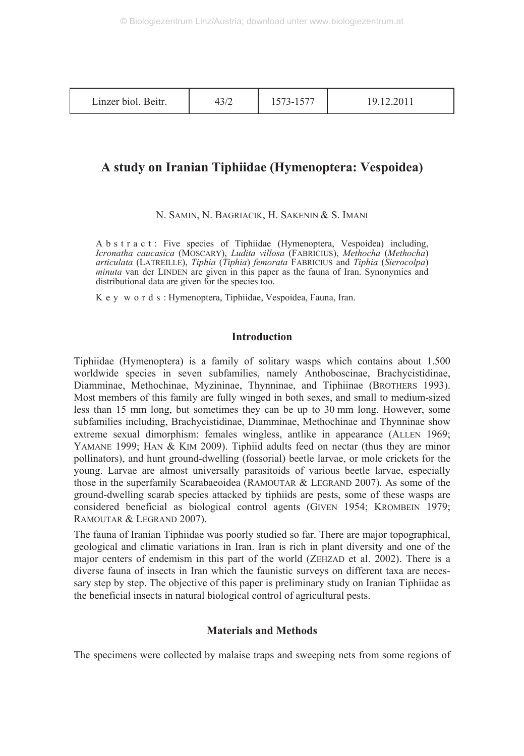| Linzer biol. Beitr. | $\sim$ | ۰-<br>1010 | 19.12.2011 |
|---------------------|--------|------------|------------|
|---------------------|--------|------------|------------|

# **A study on Iranian Tiphiidae (Hymenoptera: Vespoidea)**

N. SAMIN, N. BAGRIACIK, H. SAKENIN & S. IMANI

Abstract: Five species of Tiphiidae (Hymenoptera, Vespoidea) including, *Icronatha caucasica* (MOSCARY), *Ludita villosa* (FABRICIUS), *Methocha* (*Methocha*) *articulata* (LATREILLE), *Tiphia* (*Tiphia*) *femorata* FABRICIUS and *Tiphia* (*Sierocolpa*) *minuta* van der LINDEN are given in this paper as the fauna of Iran. Synonymies and distributional data are given for the species too.

Key words: Hymenoptera, Tiphiidae, Vespoidea, Fauna, Iran.

## **Introduction**

Tiphiidae (Hymenoptera) is a family of solitary wasps which contains about 1.500 worldwide species in seven subfamilies, namely Anthoboscinae, Brachycistidinae, Diamminae, Methochinae, Myzininae, Thynninae, and Tiphiinae (BROTHERS 1993). Most members of this family are fully winged in both sexes, and small to medium-sized less than 15 mm long, but sometimes they can be up to 30 mm long. However, some subfamilies including, Brachycistidinae, Diamminae, Methochinae and Thynninae show extreme sexual dimorphism: females wingless, antlike in appearance (ALLEN 1969; YAMANE 1999; HAN & KIM 2009). Tiphiid adults feed on nectar (thus they are minor pollinators), and hunt ground-dwelling (fossorial) beetle larvae, or mole crickets for the young. Larvae are almost universally parasitoids of various beetle larvae, especially those in the superfamily Scarabaeoidea (RAMOUTAR & LEGRAND 2007). As some of the ground-dwelling scarab species attacked by tiphiids are pests, some of these wasps are considered beneficial as biological control agents (GIVEN 1954; KROMBEIN 1979; RAMOUTAR & LEGRAND 2007).

The fauna of Iranian Tiphiidae was poorly studied so far. There are major topographical, geological and climatic variations in Iran. Iran is rich in plant diversity and one of the major centers of endemism in this part of the world (ZEHZAD et al. 2002). There is a diverse fauna of insects in Iran which the faunistic surveys on different taxa are necessary step by step. The objective of this paper is preliminary study on Iranian Tiphiidae as the beneficial insects in natural biological control of agricultural pests.

# **Materials and Methods**

The specimens were collected by malaise traps and sweeping nets from some regions of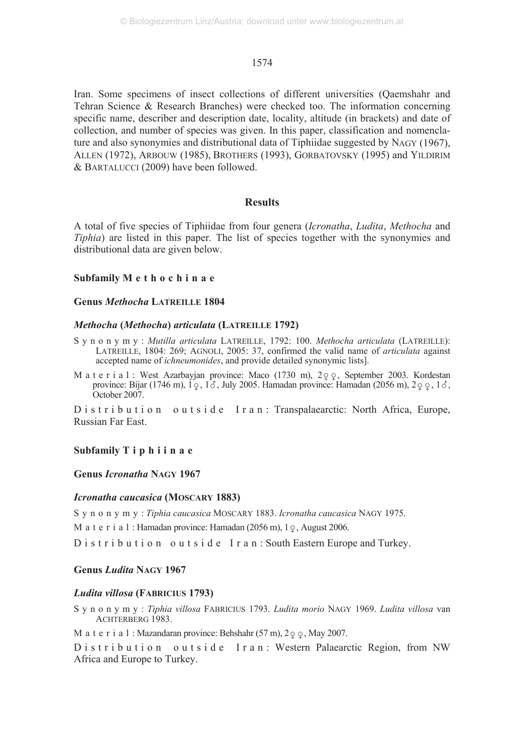Iran. Some specimens of insect collections of different universities (Qaemshahr and Tehran Science & Research Branches) were checked too. The information concerning specific name, describer and description date, locality, altitude (in brackets) and date of collection, and number of species was given. In this paper, classification and nomenclature and also synonymies and distributional data of Tiphiidae suggested by NAGY (1967), ALLEN (1972), ARBOUW (1985), BROTHERS (1993), GORBATOVSKY (1995) and YILDIRIM & BARTALUCCI (2009) have been followed.

#### **Results**

A total of five species of Tiphiidae from four genera (*Icronatha*, *Ludita*, *Methocha* and *Tiphia*) are listed in this paper. The list of species together with the synonymies and distributional data are given below.

#### **Subfamily Methochinae**

#### **Genus** *Methocha* **LATREILLE 1804**

#### *Methocha* **(***Methocha***)** *articulata* **(LATREILLE 1792)**

- S y n o n y m y : *Mutilla articulata* LATREILLE, 1792: 100. *Methocha articulata* (LATREILLE): LATREILLE, 1804: 269; AGNOLI, 2005: 37, confirmed the valid name of *articulata* against accepted name of *ichneumonides*, and provide detailed synonymic lists].
- M a t e r i a l : West Azarbayjan province: Maco  $(1730 \text{ m})$ ,  $2 \text{ q}$ , September 2003. Kordestan province: Bijar (1746 m), 1  $\varphi$ , 1  $\delta$ , July 2005. Hamadan province: Hamadan (2056 m), 2  $\varphi$   $\varphi$ , 1  $\delta$ , October 2007.

D is t r i b u t i o n o u t s i d e I r a n : Transpalaearctic: North Africa, Europe, Russian Far East.

### **Subfamily Tiphiinae**

### **Genus** *Icronatha* **NAGY 1967**

#### *Icronatha caucasica* **(MOSCARY 1883)**

S y n o n y m y : *Tiphia caucasica* MOSCARY 1883. *Icronatha caucasica* NAGY 1975.

M a t e r i a l : Hamadan province: Hamadan (2056 m),  $1\degree$ , August 2006.

D is tribution outside I ran: South Eastern Europe and Turkey.

#### **Genus** *Ludita* **NAGY 1967**

#### *Ludita villosa* **(FABRICIUS 1793)**

S y n o n y m y : *Tiphia villosa* FABRICIUS 1793. *Ludita morio* NAGY 1969. *Ludita villosa* van ACHTERBERG 1983.

M a t e r i a l : Mazandaran province: Behshahr  $(57 \text{ m})$ ,  $2 \varphi$ , May 2007.

D is t r i b u t i o n o ut s i d e I r a n : Western Palaearctic Region, from NW Africa and Europe to Turkey.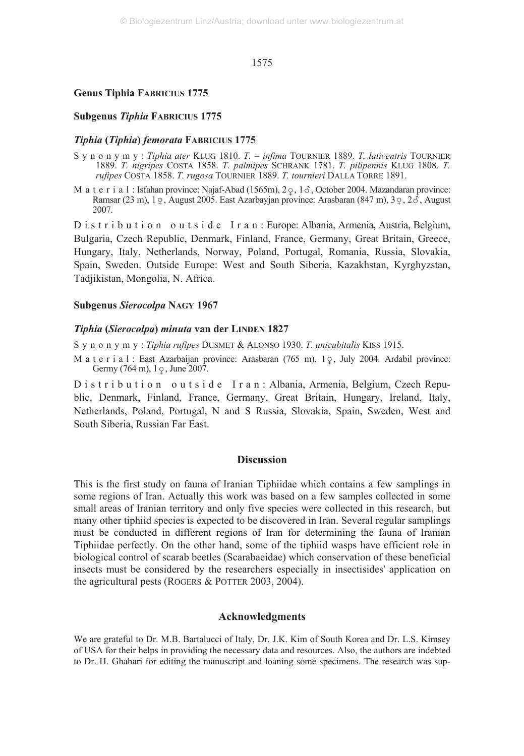#### **Genus Tiphia FABRICIUS 1775**

#### **Subgenus** *Tiphia* **FABRICIUS 1775**

### *Tiphia* **(***Tiphia***)** *femorata* **FABRICIUS 1775**

- Synonymy: *Tiphia ater* KLUG 1810. *T.* = *infima* TOURNIER 1889. *T. lativentris* TOURNIER 1889. *T. nigripes* COSTA 1858. *T. palmipes* SCHRANK 1781. *T. pilipennis* KLUG 1808. *T. rufipes* COSTA 1858. *T. rugosa* TOURNIER 1889. *T. tournieri* DALLA TORRE 1891.
- M a t e r i a l : Isfahan province: Najaf-Abad (1565m),  $2\varphi$ ,  $1\delta$ , October 2004. Mazandaran province: Ramsar (23 m), 1  $\varphi$ , August 2005. East Azarbayjan province: Arasbaran (847 m), 3  $\varphi$ , 2  $\delta$ , August 2007.

D i s t r i b u t i o n o u t s i d e I r a n : Europe: Albania, Armenia, Austria, Belgium, Bulgaria, Czech Republic, Denmark, Finland, France, Germany, Great Britain, Greece, Hungary, Italy, Netherlands, Norway, Poland, Portugal, Romania, Russia, Slovakia, Spain, Sweden. Outside Europe: West and South Siberia, Kazakhstan, Kyrghyzstan, Tadjikistan, Mongolia, N. Africa.

#### **Subgenus** *Sierocolpa* **NAGY 1967**

#### *Tiphia* **(***Sierocolpa***)** *minuta* **van der LINDEN 1827**

Synonymy: *Tiphia rufipes* DUSMET & ALONSO 1930. *T. unicubitalis* KISS 1915.

M a t e r i a l : East Azarbaijan province: Arasbaran (765 m), 19, July 2004. Ardabil province: Germy (764 m),  $1\degree$ , June 2007.

D i s t r i b u t i o n o u t s i d e I r a n : Albania, Armenia, Belgium, Czech Republic, Denmark, Finland, France, Germany, Great Britain, Hungary, Ireland, Italy, Netherlands, Poland, Portugal, N and S Russia, Slovakia, Spain, Sweden, West and South Siberia, Russian Far East.

#### **Discussion**

This is the first study on fauna of Iranian Tiphiidae which contains a few samplings in some regions of Iran. Actually this work was based on a few samples collected in some small areas of Iranian territory and only five species were collected in this research, but many other tiphiid species is expected to be discovered in Iran. Several regular samplings must be conducted in different regions of Iran for determining the fauna of Iranian Tiphiidae perfectly. On the other hand, some of the tiphiid wasps have efficient role in biological control of scarab beetles (Scarabaeidae) which conservation of these beneficial insects must be considered by the researchers especially in insectisides' application on the agricultural pests (ROGERS & POTTER 2003, 2004).

# **Acknowledgments**

We are grateful to Dr. M.B. Bartalucci of Italy, Dr. J.K. Kim of South Korea and Dr. L.S. Kimsey of USA for their helps in providing the necessary data and resources. Also, the authors are indebted to Dr. H. Ghahari for editing the manuscript and loaning some specimens. The research was sup-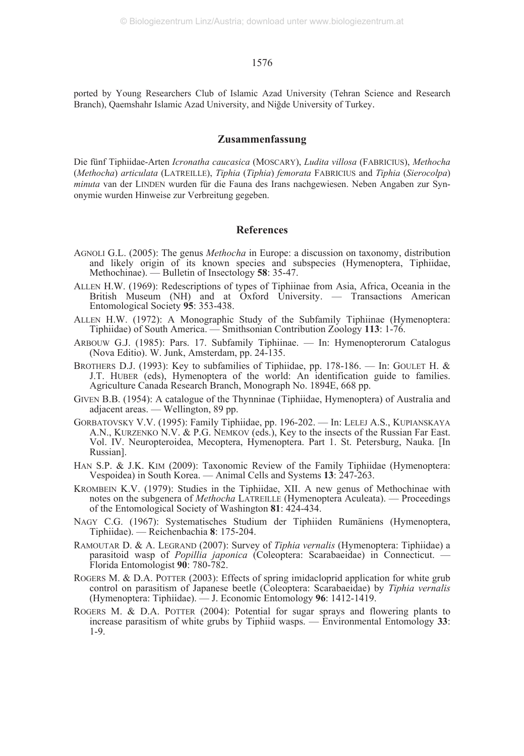ported by Young Researchers Club of Islamic Azad University (Tehran Science and Research Branch), Qaemshahr Islamic Azad University, and Niğde University of Turkey.

#### **Zusammenfassung**

Die fünf Tiphiidae-Arten *Icronatha caucasica* (MOSCARY), *Ludita villosa* (FABRICIUS), *Methocha* (*Methocha*) *articulata* (LATREILLE), *Tiphia* (*Tiphia*) *femorata* FABRICIUS and *Tiphia* (*Sierocolpa*) *minuta* van der LINDEN wurden für die Fauna des Irans nachgewiesen. Neben Angaben zur Synonymie wurden Hinweise zur Verbreitung gegeben.

## **References**

- AGNOLI G.L. (2005): The genus *Methocha* in Europe: a discussion on taxonomy, distribution and likely origin of its known species and subspecies (Hymenoptera, Tiphiidae, Methochinae). — Bulletin of Insectology **58**: 35-47.
- ALLEN H.W. (1969): Redescriptions of types of Tiphiinae from Asia, Africa, Oceania in the British Museum (NH) and at  $Ox$  for University.  $-$  Transactions American Entomological Society **95**: 353-438.
- ALLEN H.W. (1972): A Monographic Study of the Subfamily Tiphiinae (Hymenoptera: Tiphiidae) of South America. — Smithsonian Contribution Zoology **113**: 1-76.
- ARBOUW G.J. (1985): Pars. 17. Subfamily Tiphiinae. In: Hymenopterorum Catalogus (Nova Editio). W. Junk, Amsterdam, pp. 24-135.
- BROTHERS D.J. (1993): Key to subfamilies of Tiphiidae, pp. 178-186. In: GOULET H. & J.T. HUBER (eds), Hymenoptera of the world: An identification guide to families. Agriculture Canada Research Branch, Monograph No. 1894E, 668 pp.
- GIVEN B.B. (1954): A catalogue of the Thynninae (Tiphiidae, Hymenoptera) of Australia and adjacent areas. — Wellington, 89 pp.
- GORBATOVSKY V.V. (1995): Family Tiphiidae, pp. 196-202. In: LELEJ A.S., KUPIANSKAYA A.N., KURZENKO N.V. & P.G. NEMKOV (eds.), Key to the insects of the Russian Far East. Vol. IV. Neuropteroidea, Mecoptera, Hymenoptera. Part 1. St. Petersburg, Nauka. [In Russian].
- HAN S.P. & J.K. KIM (2009): Taxonomic Review of the Family Tiphiidae (Hymenoptera: Vespoidea) in South Korea. — Animal Cells and Systems **13**: 247-263.
- KROMBEIN K.V. (1979): Studies in the Tiphiidae, XII. A new genus of Methochinae with notes on the subgenera of *Methocha* LATREILLE (Hymenoptera Aculeata). — Proceedings of the Entomological Society of Washington **81**: 424-434.
- NAGY C.G. (1967): Systematisches Studium der Tiphiiden Rumäniens (Hymenoptera, Tiphiidae). — Reichenbachia **8**: 175-204.
- RAMOUTAR D. & A. LEGRAND (2007): Survey of *Tiphia vernalis* (Hymenoptera: Tiphiidae) a parasitoid wasp of *Popillia japonica* (Coleoptera: Scarabaeidae) in Connecticut. — Florida Entomologist **90**: 780-782.
- ROGERS M. & D.A. POTTER (2003): Effects of spring imidacloprid application for white grub control on parasitism of Japanese beetle (Coleoptera: Scarabaeidae) by *Tiphia vernalis* (Hymenoptera: Tiphiidae). — J. Economic Entomology **96**: 1412-1419.
- ROGERS M. & D.A. POTTER (2004): Potential for sugar sprays and flowering plants to increase parasitism of white grubs by Tiphiid wasps. — Environmental Entomology **33**: 1-9.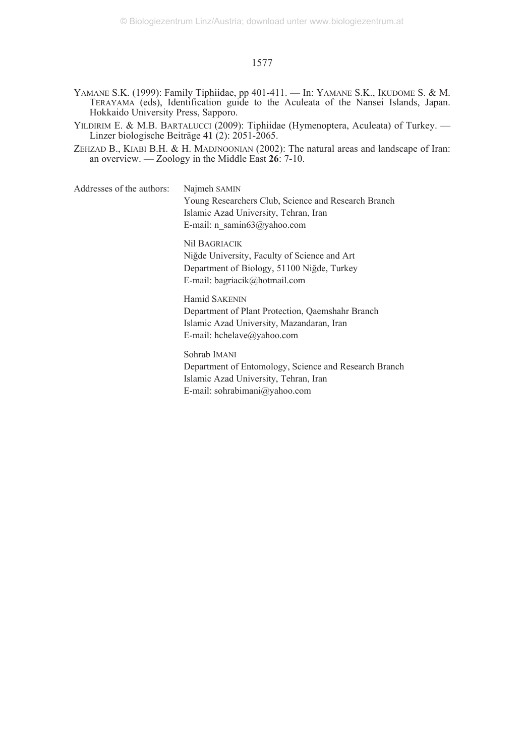- YAMANE S.K. (1999): Family Tiphiidae, pp 401-411. In: YAMANE S.K., IKUDOME S. & M. TERAYAMA (eds), Identification guide to the Aculeata of the Nansei Islands, Japan. Hokkaido University Press, Sapporo.
- YILDIRIM E. & M.B. BARTALUCCI (2009): Tiphiidae (Hymenoptera, Aculeata) of Turkey. Linzer biologische Beiträge **41** (2): 2051-2065.
- ZEHZAD B., KIABI B.H. & H. MADJNOONIAN (2002): The natural areas and landscape of Iran: an overview. — Zoology in the Middle East **26**: 7-10.
- Addresses of the authors: Najmeh SAMIN Young Researchers Club, Science and Research Branch Islamic Azad University, Tehran, Iran E-mail: n\_samin63@yahoo.com

Nil BAGRIACIK Niğde University, Faculty of Science and Art Department of Biology, 51100 Niğde, Turkey E-mail: bagriacik@hotmail.com

# Hamid SAKENIN Department of Plant Protection, Qaemshahr Branch Islamic Azad University, Mazandaran, Iran E-mail: hchelave@yahoo.com

Sohrab IMANI Department of Entomology, Science and Research Branch Islamic Azad University, Tehran, Iran E-mail: sohrabimani@yahoo.com